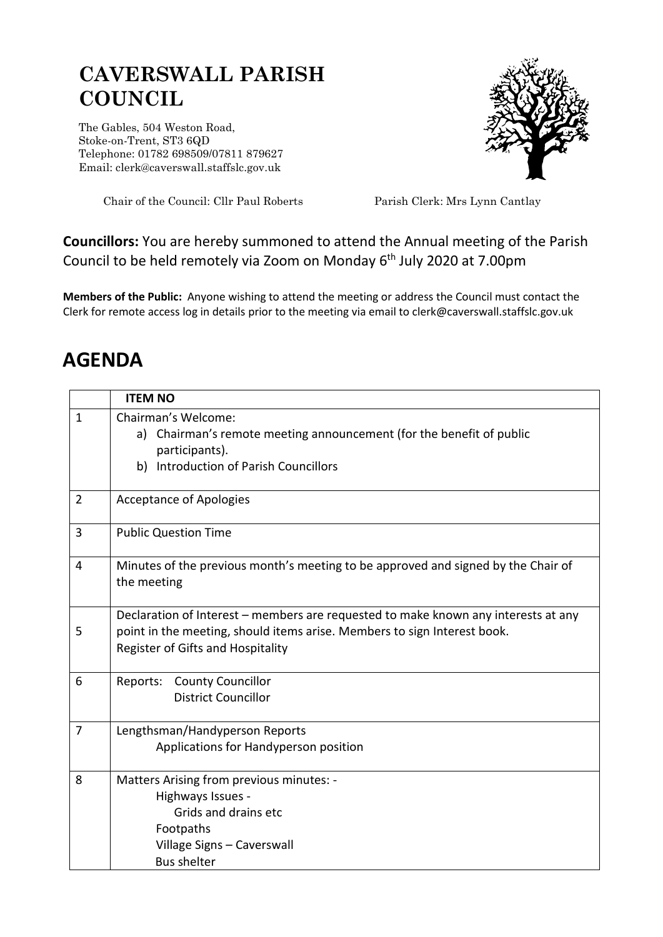## **CAVERSWALL PARISH COUNCIL**

The Gables, 504 Weston Road, Stoke-on-Trent, ST3 6QD Telephone: 01782 698509/07811 879627 Email: clerk@caverswall.staffslc.gov.uk



Chair of the Council: Cllr Paul Roberts Parish Clerk: Mrs Lynn Cantlay

**Councillors:** You are hereby summoned to attend the Annual meeting of the Parish Council to be held remotely via Zoom on Monday 6<sup>th</sup> July 2020 at 7.00pm

**Members of the Public:** Anyone wishing to attend the meeting or address the Council must contact the Clerk for remote access log in details prior to the meeting via email to clerk@caverswall.staffslc.gov.uk

## **AGENDA**

|                | <b>ITEM NO</b>                                                                                                                                                                                      |
|----------------|-----------------------------------------------------------------------------------------------------------------------------------------------------------------------------------------------------|
| $\mathbf{1}$   | Chairman's Welcome:<br>Chairman's remote meeting announcement (for the benefit of public<br>a)<br>participants).<br>Introduction of Parish Councillors<br>b)                                        |
| $\overline{2}$ | <b>Acceptance of Apologies</b>                                                                                                                                                                      |
| 3              | <b>Public Question Time</b>                                                                                                                                                                         |
| 4              | Minutes of the previous month's meeting to be approved and signed by the Chair of<br>the meeting                                                                                                    |
| 5              | Declaration of Interest – members are requested to make known any interests at any<br>point in the meeting, should items arise. Members to sign Interest book.<br>Register of Gifts and Hospitality |
| 6              | Reports: County Councillor<br><b>District Councillor</b>                                                                                                                                            |
| 7              | Lengthsman/Handyperson Reports<br>Applications for Handyperson position                                                                                                                             |
| 8              | Matters Arising from previous minutes: -<br>Highways Issues -<br>Grids and drains etc<br>Footpaths<br>Village Signs - Caverswall<br><b>Bus shelter</b>                                              |